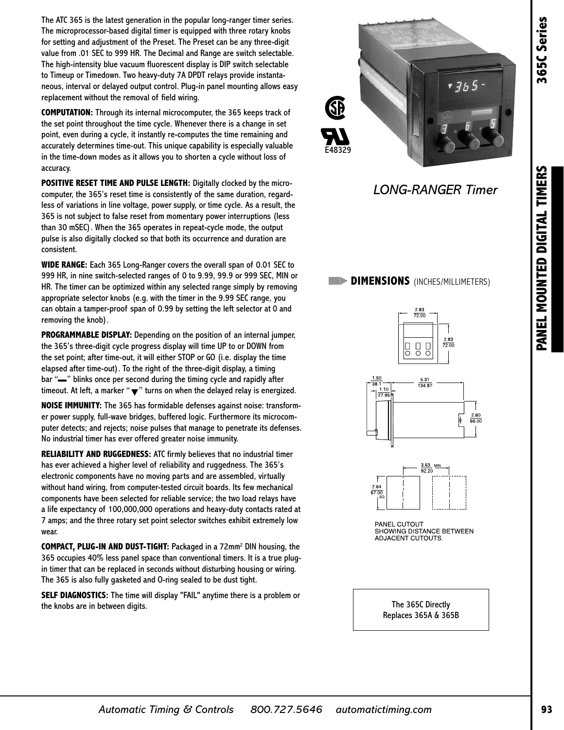The ATC 365 is the latest generation in the popular long-ranger timer series. The microprocessor-based digital timer is equipped with three rotary knobs for setting and adjustment of the Preset. The Preset can be any three-digit value from .01 SEC to 999 HR. The Decimal and Range are switch selectable. The high-intensity blue vacuum fluorescent display is DIP switch selectable to Timeup or Timedown. Two heavy-duty 7A DPDT relays provide instantaneous, interval or delayed output control. Plug-in panel mounting allows easy replacement without the removal of field wiring.

**COMPUTATION:** Through its internal microcomputer, the 365 keeps track of the set point throughout the time cycle. Whenever there is a change in set point, even during a cycle, it instantly re-computes the time remaining and accurately determines time-out. This unique capability is especially valuable in the time-down modes as it allows you to shorten a cycle without loss of accuracy.

**POSITIVE RESET TIME AND PULSE LENGTH:** Digitally clocked by the microcomputer, the 365's reset time is consistently of the same duration, regardless of variations in line voltage, power supply, or time cycle. As a result, the 365 is not subject to false reset from momentary power interruptions (less than 30 mSEC). When the 365 operates in repeat-cycle mode, the output pulse is also digitally clocked so that both its occurrence and duration are consistent.

**WIDE RANGE:** Each 365 Long-Ranger covers the overall span of 0.01 SEC to 999 HR, in nine switch-selected ranges of 0 to 9.99, 99.9 or 999 SEC, MIN or HR. The timer can be optimized within any selected range simply by removing appropriate selector knobs (e.g. with the timer in the 9.99 SEC range, you can obtain a tamper-proof span of 0.99 by setting the left selector at 0 and removing the knob).

**PROGRAMMABLE DISPLAY:** Depending on the position of an internal jumper, the 365's three-digit cycle progress display will time UP to or DOWN from the set point; after time-out, it will either STOP or GO (i.e. display the time elapsed after time-out). To the right of the three-digit display, a timing bar "—" blinks once per second during the timing cycle and rapidly after timeout. At left, a marker " $\blacktriangledown$ " turns on when the delayed relay is energized.

**NOISE IMMUNITY:** The 365 has formidable defenses against noise: transformer power supply, full-wave bridges, buffered logic. Furthermore its microcomputer detects; and rejects; noise pulses that manage to penetrate its defenses. No industrial timer has ever offered greater noise immunity.

**RELIABILITY AND RUGGEDNESS:** ATC firmly believes that no industrial timer has ever achieved a higher level of reliability and ruggedness. The 365's electronic components have no moving parts and are assembled, virtually without hand wiring, from computer-tested circuit boards. Its few mechanical components have been selected for reliable service; the two load relays have a life expectancy of 100,000,000 operations and heavy-duty contacts rated at 7 amps; and the three rotary set point selector switches exhibit extremely low wear.

**COMPACT, PLUG-IN AND DUST-TIGHT:** Packaged in a 72mm2 DIN housing, the 365 occupies 40% less panel space than conventional timers. It is a true plugin timer that can be replaced in seconds without disturbing housing or wiring. The 365 is also fully gasketed and O-ring sealed to be dust tight.

**SELF DIAGNOSTICS:** The time will display "FAIL" anytime there is a problem or the knobs are in between digits. The 365C Directly



*LONG-RANGER Timer*

## **DIMENSIONS** (INCHES/MILLIMETERS)







Replaces 365A & 365B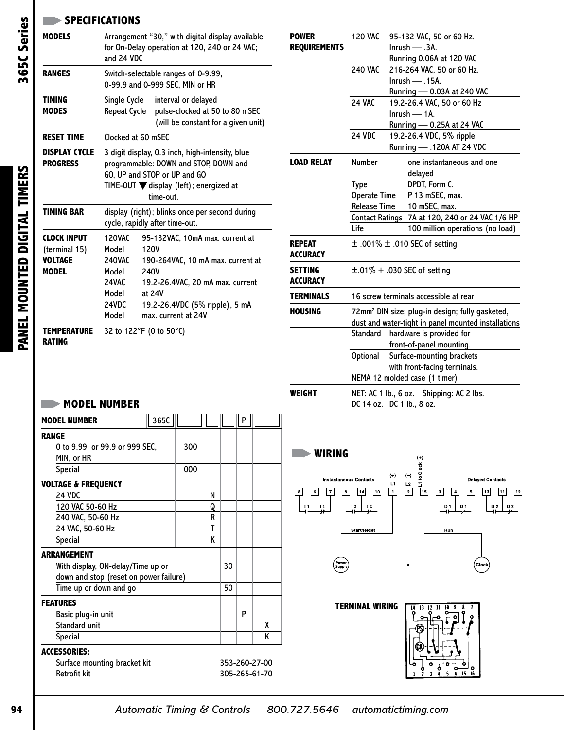## **SPECIFICATIONS**

| <b>MODELS</b>                                                         | Arrangement "30," with digital display available<br>for On-Delay operation at 120, 240 or 24 VAC;<br>and 24 VDC                                                                 |                                                                                                                                                                                             |  |  |  |  |  |  |
|-----------------------------------------------------------------------|---------------------------------------------------------------------------------------------------------------------------------------------------------------------------------|---------------------------------------------------------------------------------------------------------------------------------------------------------------------------------------------|--|--|--|--|--|--|
| <b>RANGES</b>                                                         |                                                                                                                                                                                 | Switch-selectable ranges of 0-9.99,<br>0-99.9 and 0-999 SEC, MIN or HR                                                                                                                      |  |  |  |  |  |  |
| <b>TIMING</b><br><b>MODES</b>                                         | Single Cycle<br><b>Repeat Cycle</b>                                                                                                                                             | interval or delayed<br>pulse-clocked at 50 to 80 mSEC<br>(will be constant for a given unit)                                                                                                |  |  |  |  |  |  |
| <b>RESET TIME</b>                                                     | Clocked at 60 mSEC                                                                                                                                                              |                                                                                                                                                                                             |  |  |  |  |  |  |
| <b>DISPLAY CYCLE</b><br><b>PROGRESS</b>                               | 3 digit display, 0.3 inch, high-intensity, blue<br>programmable: DOWN and STOP, DOWN and<br>GO, UP and STOP or UP and GO<br>TIME-OUT V display (left); energized at<br>time-out |                                                                                                                                                                                             |  |  |  |  |  |  |
| <b>TIMING BAR</b>                                                     | display (right); blinks once per second during<br>cycle, rapidly after time-out.                                                                                                |                                                                                                                                                                                             |  |  |  |  |  |  |
| <b>CLOCK INPUT</b><br>(terminal 15)<br><b>VOLTAGE</b><br><b>MODEL</b> | <b>120VAC</b><br>Model<br><b>240VAC</b><br>Model<br>24VAC<br>Model<br>24VDC<br>Model                                                                                            | 95-132VAC, 10mA max. current at<br>120V<br>190-264VAC, 10 mA max. current at<br>240V<br>19.2-26.4VAC, 20 mA max. current<br>at 24V<br>19.2-26.4VDC (5% ripple), 5 mA<br>max. current at 24V |  |  |  |  |  |  |
| <b>TEMPERATURE</b><br><b>RATING</b>                                   |                                                                                                                                                                                 | 32 to 122°F (0 to 50°C)                                                                                                                                                                     |  |  |  |  |  |  |

| <b>POWER</b>                      | <b>120 VAC</b>                                              | 95-132 VAC, 50 or 60 Hz.              |  |  |  |  |  |  |
|-----------------------------------|-------------------------------------------------------------|---------------------------------------|--|--|--|--|--|--|
| <b>REQUIREMENTS</b>               |                                                             | $Inrush \longrightarrow .3A.$         |  |  |  |  |  |  |
|                                   |                                                             | Running 0.06A at 120 VAC              |  |  |  |  |  |  |
|                                   | <b>240 VAC</b>                                              | 216-264 VAC, 50 or 60 Hz.             |  |  |  |  |  |  |
|                                   |                                                             | $lnrush - 0.15A$ .                    |  |  |  |  |  |  |
|                                   |                                                             | Running - 0.03A at 240 VAC            |  |  |  |  |  |  |
|                                   | <b>24 VAC</b>                                               | 19.2-26.4 VAC, 50 or 60 Hz            |  |  |  |  |  |  |
|                                   |                                                             | $Inrush - 1A$ .                       |  |  |  |  |  |  |
|                                   |                                                             | Running - 0.25A at 24 VAC             |  |  |  |  |  |  |
|                                   | 24 VDC                                                      | 19.2-26.4 VDC, 5% ripple              |  |  |  |  |  |  |
|                                   |                                                             | Running - .120A AT 24 VDC             |  |  |  |  |  |  |
| <b>LOAD RELAY</b>                 | <b>Number</b>                                               | one instantaneous and one             |  |  |  |  |  |  |
|                                   |                                                             | delayed                               |  |  |  |  |  |  |
|                                   | <b>Type</b>                                                 | DPDT, Form C.                         |  |  |  |  |  |  |
|                                   | <b>Operate Time</b>                                         | P 13 mSEC, max.                       |  |  |  |  |  |  |
|                                   | <b>Release Time</b><br>10 mSEC, max.                        |                                       |  |  |  |  |  |  |
|                                   | <b>Contact Ratings</b>                                      | 7A at 120, 240 or 24 VAC 1/6 HP       |  |  |  |  |  |  |
|                                   | Life                                                        | 100 million operations (no load)      |  |  |  |  |  |  |
| <b>REPEAT</b><br><b>ACCURACY</b>  |                                                             | $\pm$ .001% $\pm$ .010 SEC of setting |  |  |  |  |  |  |
| <b>SETTING</b><br><b>ACCURACY</b> |                                                             | $\pm$ .01% + .030 SEC of setting      |  |  |  |  |  |  |
| <b>TERMINALS</b>                  |                                                             | 16 screw terminals accessible at rear |  |  |  |  |  |  |
| <b>HOUSING</b>                    | 72mm <sup>2</sup> DIN size; plug-in design; fully gasketed, |                                       |  |  |  |  |  |  |
|                                   | dust and water-tight in panel mounted installations         |                                       |  |  |  |  |  |  |
|                                   | Standard                                                    | hardware is provided for              |  |  |  |  |  |  |
|                                   |                                                             | front-of-panel mounting.              |  |  |  |  |  |  |
|                                   | <b>Optional</b>                                             | Surface-mounting brackets             |  |  |  |  |  |  |
|                                   |                                                             | with front-facing terminals.          |  |  |  |  |  |  |
|                                   | NEMA 12 molded case (1 timer)                               |                                       |  |  |  |  |  |  |
| WEIGHT                            | NET: AC 1 lb., 6 oz. Shipping: AC 2 lbs.                    |                                       |  |  |  |  |  |  |
|                                   |                                                             | DC 14 oz. DC 1 lb., 8 oz.             |  |  |  |  |  |  |



## **MODEL NUMBER**

| <b>MODEL NUMBER</b>                    | 365C |    |   |               | P |   |  |
|----------------------------------------|------|----|---|---------------|---|---|--|
| <b>RANGE</b>                           |      |    |   |               |   |   |  |
| 0 to 9.99, or 99.9 or 999 SEC,         | 300  |    |   |               |   |   |  |
| MIN, or HR                             |      |    |   |               |   |   |  |
| <b>Special</b>                         | 000  |    |   |               |   |   |  |
| <b>VOLTAGE &amp; FREQUENCY</b>         |      |    |   |               |   |   |  |
| <b>24 VDC</b>                          |      | N  |   |               |   |   |  |
| 120 VAC 50-60 Hz                       |      | Q  |   |               |   |   |  |
| 240 VAC, 50-60 Hz                      |      | R  |   |               |   |   |  |
| 24 VAC, 50-60 Hz                       |      | т  |   |               |   |   |  |
| <b>Special</b>                         |      | K  |   |               |   |   |  |
| <b>ARRANGEMENT</b>                     |      |    |   |               |   |   |  |
| With display, ON-delay/Time up or      |      |    |   | 30            |   |   |  |
| down and stop (reset on power failure) |      |    |   |               |   |   |  |
| Time up or down and go                 |      | 50 |   |               |   |   |  |
| <b>FEATURES</b>                        |      |    |   |               |   |   |  |
| Basic plug-in unit                     |      |    | P |               |   |   |  |
| <b>Standard unit</b>                   |      |    |   |               |   | χ |  |
| Special                                |      |    |   | K             |   |   |  |
| <b>ACCESSORIES:</b>                    |      |    |   |               |   |   |  |
| Surface mounting bracket kit           |      |    |   | 353-260-27-00 |   |   |  |
| <b>Retrofit kit</b>                    |      |    |   | 305-265-61-70 |   |   |  |

# 365C Series